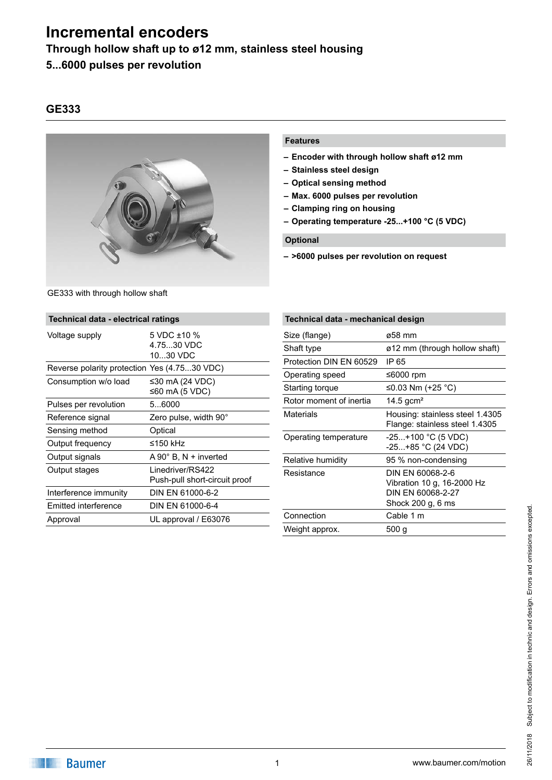**Through hollow shaft up to ø12 mm, stainless steel housing**

## **5...6000 pulses per revolution**

GE333 with through hollow shaft

## **GE333**



#### **Features**

- **– Encoder with through hollow shaft ø12 mm**
- **– Stainless steel design**
- **– Optical sensing method**
- **– Max. 6000 pulses per revolution**
- **– Clamping ring on housing**
- **– Operating temperature -25...+100 °C (5 VDC)**

### **Optional**

**– >6000 pulses per revolution on request**

| Technical data - electrical ratings                |  |  |  |  |
|----------------------------------------------------|--|--|--|--|
| 5 VDC ±10 %<br>4.7530 VDC<br>1030 VDC              |  |  |  |  |
| Reverse polarity protection Yes (4.7530 VDC)       |  |  |  |  |
| ≤30 mA (24 VDC)<br>≤60 mA (5 VDC)                  |  |  |  |  |
| 56000                                              |  |  |  |  |
| Zero pulse, width 90°                              |  |  |  |  |
| Optical                                            |  |  |  |  |
| ≤150 kHz                                           |  |  |  |  |
| $A 90^\circ$ B, N + inverted                       |  |  |  |  |
| I inedriver/RS422<br>Push-pull short-circuit proof |  |  |  |  |
| DIN EN 61000-6-2                                   |  |  |  |  |
| DIN EN 61000-6-4                                   |  |  |  |  |
| UL approval / E63076                               |  |  |  |  |
|                                                    |  |  |  |  |

| Technical data - mechanical design |                                                                                          |  |  |
|------------------------------------|------------------------------------------------------------------------------------------|--|--|
| Size (flange)                      | ø58 mm                                                                                   |  |  |
| Shaft type                         | ø12 mm (through hollow shaft)                                                            |  |  |
| Protection DIN EN 60529            | IP 65                                                                                    |  |  |
| Operating speed                    | ≤6000 rpm                                                                                |  |  |
| Starting torque                    | ≤0.03 Nm (+25 °C)                                                                        |  |  |
| Rotor moment of inertia            | 14.5 gcm <sup>2</sup>                                                                    |  |  |
| Materials                          | Housing: stainless steel 1.4305<br>Flange: stainless steel 1.4305                        |  |  |
| Operating temperature              | $-25+100$ °C (5 VDC)<br>$-25+85$ °C (24 VDC)                                             |  |  |
| Relative humidity                  | 95 % non-condensing                                                                      |  |  |
| Resistance                         | DIN EN 60068-2-6<br>Vibration 10 g, 16-2000 Hz<br>DIN EN 60068-2-27<br>Shock 200 g, 6 ms |  |  |
| Connection                         | Cable 1 m                                                                                |  |  |
| Weight approx.                     | 500 g                                                                                    |  |  |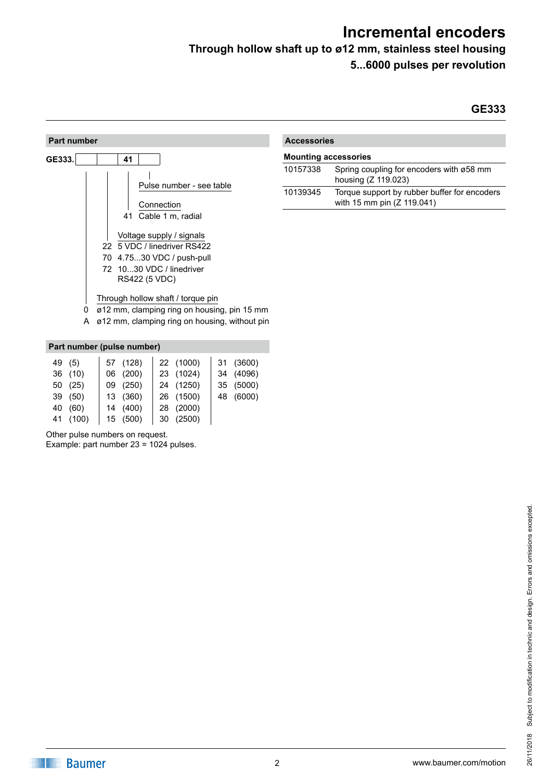**Through hollow shaft up to ø12 mm, stainless steel housing**

**5...6000 pulses per revolution**

### **GE333**



| <b>Accessories</b>          |                                                                            |  |  |
|-----------------------------|----------------------------------------------------------------------------|--|--|
| <b>Mounting accessories</b> |                                                                            |  |  |
| 10157338                    | Spring coupling for encoders with ø58 mm<br>housing (Z 119.023)            |  |  |
| 10139345                    | Torque support by rubber buffer for encoders<br>with 15 mm pin (Z 119.041) |  |  |

| Part number (pulse number) |          |  |          |  |           |           |
|----------------------------|----------|--|----------|--|-----------|-----------|
|                            | 49 (5)   |  | 57 (128) |  | 22 (1000) | 31 (3600) |
|                            | 36 (10)  |  | 06 (200) |  | 23 (1024) | 34 (4096) |
|                            | 50 (25)  |  | 09 (250) |  | 24 (1250) | 35 (5000) |
|                            | 39 (50)  |  | 13 (360) |  | 26 (1500) | 48 (6000) |
|                            | 40 (60)  |  | 14 (400) |  | 28 (2000) |           |
|                            | 41 (100) |  | 15 (500) |  | 30 (2500) |           |

Other pulse numbers on request.

Example: part number 23 = 1024 pulses.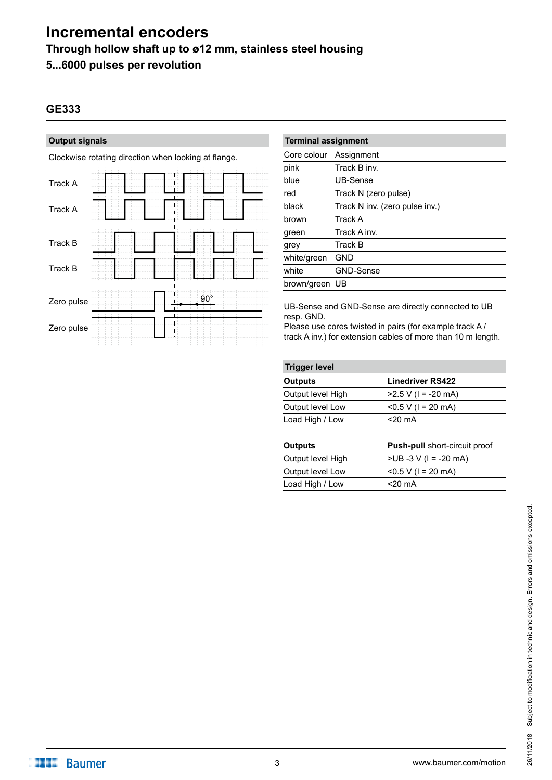**Through hollow shaft up to ø12 mm, stainless steel housing**

**5...6000 pulses per revolution**

## **GE333**

### **Output signals**

Clockwise rotating direction when looking at flange.

| Track A    |  | $\mathbf{I}$<br>$\overline{1}$ | Ш<br>L |            |  |  |
|------------|--|--------------------------------|--------|------------|--|--|
| Track A    |  |                                |        |            |  |  |
| Track B    |  |                                |        |            |  |  |
| Track B    |  |                                |        |            |  |  |
| Zero pulse |  |                                |        | $90^\circ$ |  |  |
| Zero pulse |  |                                |        |            |  |  |

| <b>Terminal assignment</b> |                                |  |  |
|----------------------------|--------------------------------|--|--|
| Core colour                | Assignment                     |  |  |
| pink                       | Track B inv.                   |  |  |
| blue                       | UB-Sense                       |  |  |
| red                        | Track N (zero pulse)           |  |  |
| black                      | Track N inv. (zero pulse inv.) |  |  |
| brown                      | Track A                        |  |  |
| green                      | Track A inv.                   |  |  |
| grey                       | Track B                        |  |  |
| white/green                | GND                            |  |  |
| white                      | <b>GND-Sense</b>               |  |  |
| brown/green UB             |                                |  |  |
|                            |                                |  |  |

UB-Sense and GND-Sense are directly connected to UB resp. GND.

Please use cores twisted in pairs (for example track A / track A inv.) for extension cables of more than 10 m length.

| <b>Trigger level</b> |                         |  |  |  |
|----------------------|-------------------------|--|--|--|
| <b>Outputs</b>       | <b>Linedriver RS422</b> |  |  |  |
| Output level High    | $>2.5$ V (I = -20 mA)   |  |  |  |
| Output level Low     | $< 0.5 V$ (1 = 20 mA)   |  |  |  |
| Load High / Low      | $<$ 20 mA               |  |  |  |

| <b>Outputs</b>    | <b>Push-pull short-circuit proof</b> |
|-------------------|--------------------------------------|
| Output level High | $>UB -3 V (I = -20 mA)$              |
| Output level Low  | $< 0.5 V$ (1 = 20 mA)                |
| Load High / Low   | $<$ 20 mA                            |